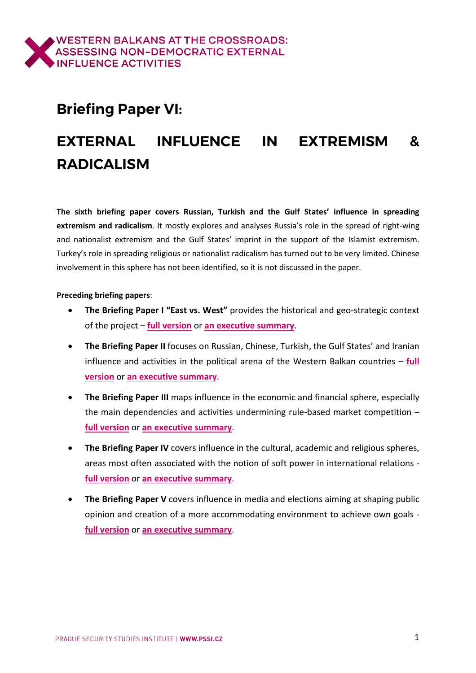# **Briefing Paper VI:**

# **EXTERNAL INFLUENCE IN EXTREMISM & RADICALISM**

**The sixth briefing paper covers Russian, Turkish and the Gulf States' influence in spreading extremism and radicalism**. It mostly explores and analyses Russia's role in the spread of right-wing and nationalist extremism and the Gulf States' imprint in the support of the Islamist extremism. Turkey's role in spreading religious or nationalist radicalism has turned out to be very limited. Chinese involvement in this sphere has not been identified, so it is not discussed in the paper.

#### **Preceding briefing papers**:

- **The Briefing Paper I "East vs. West"** provides the historical and geo-strategic context of the project – **full [version](https://www.balkancrossroads.com/bp-i-east-vs-west)** or **an [executive](https://www.balkancrossroads.com/copy-of-bp-i-east-vs-west) summary**.
- **The Briefing Paper II** focuses on Russian, Chinese, Turkish, the Gulf States' and Iranian influence and activities in the political arena of the Western Balkan countries – **[full](https://www.balkancrossroads.com/bp-ii-politics) [version](https://www.balkancrossroads.com/bp-ii-politics)** or **an [executive](https://www.balkancrossroads.com/bp-ii-politics-short) summary**.
- **The Briefing Paper III** maps influence in the economic and financial sphere, especially the main dependencies and activities undermining rule-based market competition – **full [version](https://www.balkancrossroads.com/bp-iii-economics)** or **an [executive](https://www.balkancrossroads.com/bp-iii-economics-es) summary**.
- **The Briefing Paper IV** covers influence in the cultural, academic and religious spheres, areas most often associated with the notion of soft power in international relations **full [version](https://www.balkancrossroads.com/bp-iv-culture-religion)** or **an [executive](https://www.balkancrossroads.com/bp-iv-culture-religion-es) summary**.
- **The Briefing Paper V** covers influence in media and elections aiming at shaping public opinion and creation of a more accommodating environment to achieve own goals **full [version](https://www.balkancrossroads.com/bp-v-media-elections)** or **an [executive](https://www.balkancrossroads.com/bp-v-media-elections-es) summary**.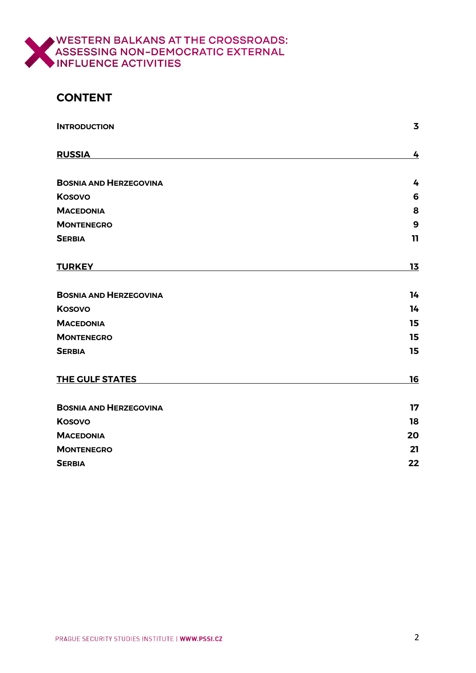

# **CONTENT**

<span id="page-1-0"></span>

| <b>INTRODUCTION</b>           | $\overline{\mathbf{3}}$ |
|-------------------------------|-------------------------|
| <b>RUSSIA</b>                 | 4                       |
| <b>BOSNIA AND HERZEGOVINA</b> | 4                       |
| <b>Kosovo</b>                 | 6                       |
| <b>MACEDONIA</b>              | 8                       |
| <b>MONTENEGRO</b>             | 9                       |
| <b>SERBIA</b>                 | $\mathbf{11}$           |
| <b>TURKEY</b>                 | 13                      |
| <b>BOSNIA AND HERZEGOVINA</b> | 14                      |
| Kosovo                        | 14                      |
| <b>MACEDONIA</b>              | 15                      |
| <b>MONTENEGRO</b>             | 15                      |
| <b>SERBIA</b>                 | 15                      |
| <b>THE GULF STATES</b>        | 16                      |
| <b>BOSNIA AND HERZEGOVINA</b> | 17                      |
| <b>Kosovo</b>                 | 18                      |
| <b>MACEDONIA</b>              | 20                      |
| <b>MONTENEGRO</b>             | 21                      |
| <b>SERBIA</b>                 | 22                      |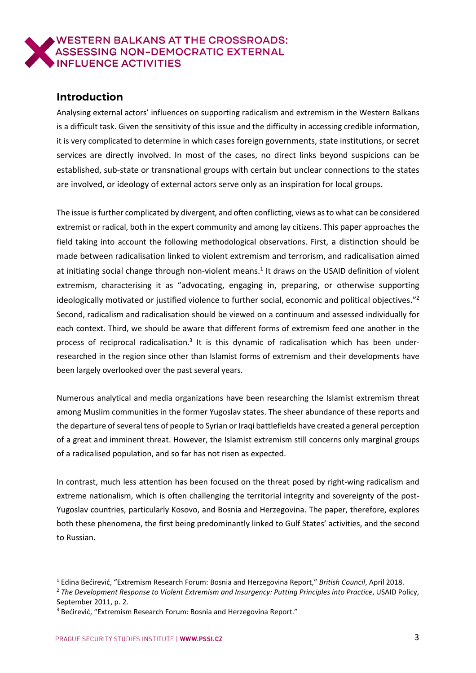

#### **Introduction**

Analysing external actors' influences on supporting radicalism and extremism in the Western Balkans is a difficult task. Given the sensitivity of this issue and the difficulty in accessing credible information, it is very complicated to determine in which cases foreign governments, state institutions, or secret services are directly involved. In most of the cases, no direct links beyond suspicions can be established, sub-state or transnational groups with certain but unclear connections to the states are involved, or ideology of external actors serve only as an inspiration for local groups.

The issue isfurther complicated by divergent, and often conflicting, views asto what can be considered extremist or radical, both in the expert community and among lay citizens. This paper approaches the field taking into account the following methodological observations. First, a distinction should be made between radicalisation linked to violent extremism and terrorism, and radicalisation aimed at initiating social change through non-violent means.<sup>1</sup> It draws on the USAID definition of violent extremism, characterising it as "advocating, engaging in, preparing, or otherwise supporting ideologically motivated or justified violence to further social, economic and political objectives."<sup>2</sup> Second, radicalism and radicalisation should be viewed on a continuum and assessed individually for each context. Third, we should be aware that different forms of extremism feed one another in the process of reciprocal radicalisation.<sup>3</sup> It is this dynamic of radicalisation which has been underresearched in the region since other than Islamist forms of extremism and their developments have been largely overlooked over the past several years.

Numerous analytical and media organizations have been researching the Islamist extremism threat among Muslim communities in the former Yugoslav states. The sheer abundance of these reports and the departure of several tens of people to Syrian or Iraqi battlefields have created a general perception of a great and imminent threat. However, the Islamist extremism still concerns only marginal groups of a radicalised population, and so far has not risen as expected.

In contrast, much less attention has been focused on the threat posed by right-wing radicalism and extreme nationalism, which is often challenging the territorial integrity and sovereignty of the post-Yugoslav countries, particularly Kosovo, and Bosnia and Herzegovina. The paper, therefore, explores both these phenomena, the first being predominantly linked to Gulf States' activities, and the second to Russian.

<sup>1</sup> Edina Bećirević, "Extremism Research Forum: Bosnia and Herzegovina Report," *British Council*, April 2018.

<sup>2</sup> *The Development Response to Violent Extremism and Insurgency: Putting Principles into Practice*, USAID Policy, September 2011, p. 2.

<sup>&</sup>lt;sup>3</sup> Bećirević, "Extremism Research Forum: Bosnia and Herzegovina Report."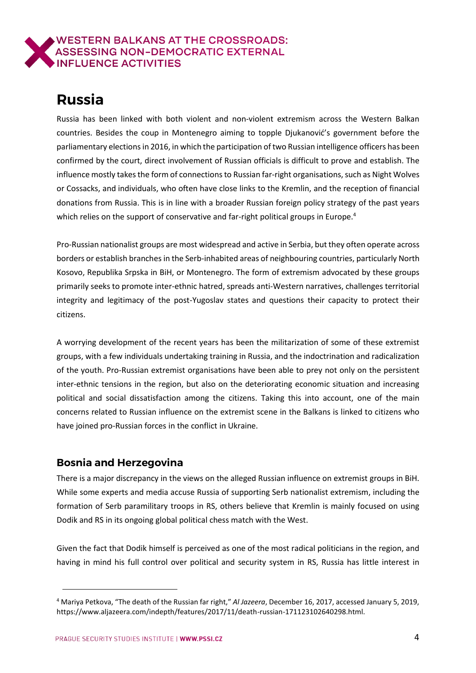# <span id="page-3-0"></span>**Russia**

Russia has been linked with both violent and non-violent extremism across the Western Balkan countries. Besides the coup in Montenegro aiming to topple Djukanović's government before the parliamentary electionsin 2016, in which the participation oftwo Russian intelligence officers has been confirmed by the court, direct involvement of Russian officials is difficult to prove and establish. The influence mostly takes the form of connections to Russian far-right organisations, such as Night Wolves or Cossacks, and individuals, who often have close links to the Kremlin, and the reception of financial donations from Russia. This is in line with a broader Russian foreign policy strategy of the past years which relies on the support of conservative and far-right political groups in Europe.<sup>4</sup>

Pro-Russian nationalist groups are most widespread and active in Serbia, but they often operate across borders or establish branches in the Serb-inhabited areas of neighbouring countries, particularly North Kosovo, Republika Srpska in BiH, or Montenegro. The form of extremism advocated by these groups primarily seeks to promote inter-ethnic hatred, spreads anti-Western narratives, challenges territorial integrity and legitimacy of the post-Yugoslav states and questions their capacity to protect their citizens.

A worrying development of the recent years has been the militarization of some of these extremist groups, with a few individuals undertaking training in Russia, and the indoctrination and radicalization of the youth. Pro-Russian extremist organisations have been able to prey not only on the persistent inter-ethnic tensions in the region, but also on the deteriorating economic situation and increasing political and social dissatisfaction among the citizens. Taking this into account, one of the main concerns related to Russian influence on the extremist scene in the Balkans is linked to citizens who have joined pro-Russian forces in the conflict in Ukraine.

# <span id="page-3-1"></span>**Bosnia and Herzegovina**

 $\overline{a}$ 

There is a major discrepancy in the views on the alleged Russian influence on extremist groups in BiH. While some experts and media accuse Russia of supporting Serb nationalist extremism, including the formation of Serb paramilitary troops in RS, others believe that Kremlin is mainly focused on using Dodik and RS in its ongoing global political chess match with the West.

Given the fact that Dodik himself is perceived as one of the most radical politicians in the region, and having in mind his full control over political and security system in RS, Russia has little interest in

<sup>4</sup> Mariya Petkova, "The death of the Russian far right," *Al Jazeera*, December 16, 2017, accessed January 5, 2019, https://www.aljazeera.com/indepth/features/2017/11/death-russian-171123102640298.html.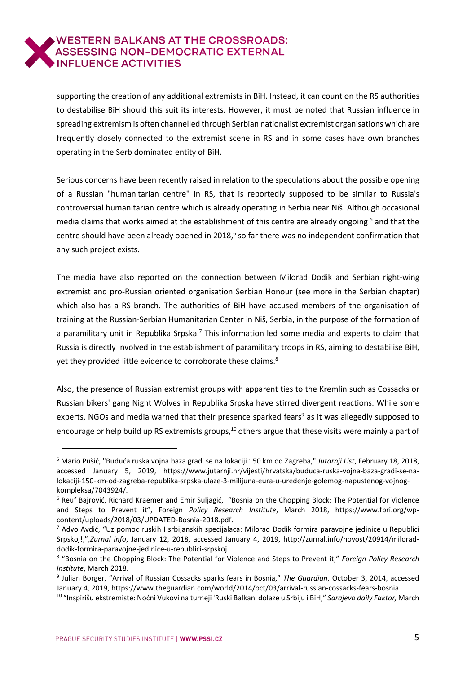supporting the creation of any additional extremists in BiH. Instead, it can count on the RS authorities to destabilise BiH should this suit its interests. However, it must be noted that Russian influence in spreading extremism is often channelled through Serbian nationalist extremist organisations which are frequently closely connected to the extremist scene in RS and in some cases have own branches operating in the Serb dominated entity of BiH.

Serious concerns have been recently raised in relation to the speculations about the possible opening of a Russian "humanitarian centre" in RS, that is reportedly supposed to be similar to Russia's controversial humanitarian centre which is already operating in Serbia near Niš. Although occasional media claims that works aimed at the establishment of this centre are already ongoing<sup>5</sup> and that the centre should have been already opened in 2018,<sup>6</sup> so far there was no independent confirmation that any such project exists.

The media have also reported on the connection between Milorad Dodik and Serbian right-wing extremist and pro-Russian oriented organisation Serbian Honour (see more in the Serbian chapter) which also has a RS branch. The authorities of BiH have accused members of the organisation of training at the Russian-Serbian Humanitarian Center in Niš, Serbia, in the purpose of the formation of a paramilitary unit in Republika Srpska.<sup>7</sup> This information led some media and experts to claim that Russia is directly involved in the establishment of paramilitary troops in RS, aiming to destabilise BiH, yet they provided little evidence to corroborate these claims.<sup>8</sup>

Also, the presence of Russian extremist groups with apparent ties to the Kremlin such as Cossacks or Russian bikers' gang Night Wolves in Republika Srpska have stirred divergent reactions. While some experts, NGOs and media warned that their presence sparked fears<sup>9</sup> as it was allegedly supposed to encourage or help build up RS extremists groups,<sup>10</sup> others argue that these visits were mainly a part of

<sup>5</sup> Mario Pušić, "Buduća ruska vojna baza gradi se na lokaciji 150 km od Zagreba," *Jutarnji List*, February 18, 2018, accessed January 5, 2019, https://www.jutarnji.hr/vijesti/hrvatska/buduca-ruska-vojna-baza-gradi-se-nalokaciji-150-km-od-zagreba-republika-srpska-ulaze-3-milijuna-eura-u-uredenje-golemog-napustenog-vojnogkompleksa/7043924/.

<sup>6</sup> Reuf Bajrović, Richard Kraemer and Emir Suljagić, "Bosnia on the Chopping Block: The Potential for Violence and Steps to Prevent it", Foreign *Policy Research Institute*, March 2018, https://www.fpri.org/wpcontent/uploads/2018/03/UPDATED-Bosnia-2018.pdf.

<sup>7</sup> Advo Avdić, "Uz pomoc ruskih I srbijanskih specijalaca: Milorad Dodik formira paravojne jedinice u Republici Srpskoj!,",*Zurnal info*, January 12, 2018, accessed January 4, 2019, http://zurnal.info/novost/20914/miloraddodik-formira-paravojne-jedinice-u-republici-srpskoj.

<sup>8</sup> "Bosnia on the Chopping Block: The Potential for Violence and Steps to Prevent it," *Foreign Policy Research Institute*, March 2018.

<sup>9</sup> Julian Borger, "Arrival of Russian Cossacks sparks fears in Bosnia," *The Guardian*, October 3, 2014, accessed January 4, 2019, https://www.theguardian.com/world/2014/oct/03/arrival-russian-cossacks-fears-bosnia.

<sup>10</sup> "Inspirišu ekstremiste: Noćni Vukovi na turneji 'Ruski Balkan' dolaze u Srbiju i BiH," *Sarajevo daily Faktor,* March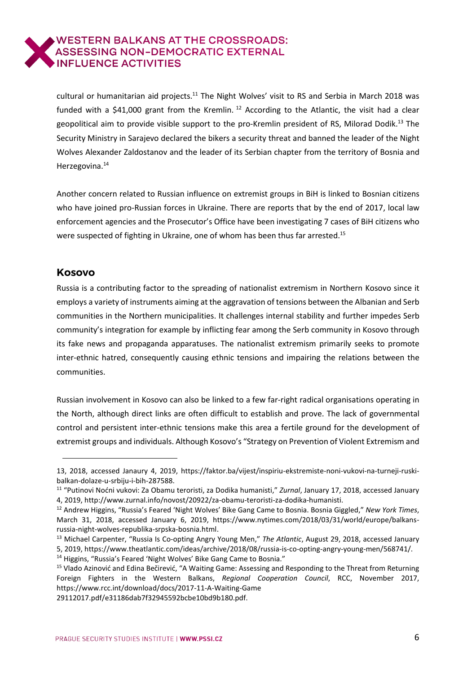cultural or humanitarian aid projects.<sup>11</sup> The Night Wolves' visit to RS and Serbia in March 2018 was funded with a \$41,000 grant from the Kremlin.<sup>12</sup> According to the Atlantic, the visit had a clear geopolitical aim to provide visible support to the pro-Kremlin president of RS, Milorad Dodik.<sup>13</sup> The Security Ministry in Sarajevo declared the bikers a security threat and banned the leader of the Night Wolves Alexander Zaldostanov and the leader of its Serbian chapter from the territory of Bosnia and Herzegovina.<sup>14</sup>

Another concern related to Russian influence on extremist groups in BiH is linked to Bosnian citizens who have joined pro-Russian forces in Ukraine. There are reports that by the end of 2017, local law enforcement agencies and the Prosecutor's Office have been investigating 7 cases of BiH citizens who were suspected of fighting in Ukraine, one of whom has been thus far arrested.<sup>15</sup>

#### <span id="page-5-0"></span>**Kosovo**

 $\overline{a}$ 

Russia is a contributing factor to the spreading of nationalist extremism in Northern Kosovo since it employs a variety of instruments aiming at the aggravation of tensions between the Albanian and Serb communities in the Northern municipalities. It challenges internal stability and further impedes Serb community's integration for example by inflicting fear among the Serb community in Kosovo through its fake news and propaganda apparatuses. The nationalist extremism primarily seeks to promote inter-ethnic hatred, consequently causing ethnic tensions and impairing the relations between the communities.

Russian involvement in Kosovo can also be linked to a few far-right radical organisations operating in the North, although direct links are often difficult to establish and prove. The lack of governmental control and persistent inter-ethnic tensions make this area a fertile ground for the development of extremist groups and individuals. Although Kosovo's "Strategy on Prevention of Violent Extremism and

29112017.pdf/e31186dab7f32945592bcbe10bd9b180.pdf.

<sup>13,</sup> 2018, accessed Janaury 4, 2019, https://faktor.ba/vijest/inspiriu-ekstremiste-noni-vukovi-na-turneji-ruskibalkan-dolaze-u-srbiju-i-bih-287588.

<sup>11</sup> "Putinovi Noćni vukovi: Za Obamu teroristi, za Dodika humanisti," *Zurnal*, January 17, 2018, accessed January 4, 2019, http://www.zurnal.info/novost/20922/za-obamu-teroristi-za-dodika-humanisti.

<sup>12</sup> Andrew Higgins, "Russia's Feared 'Night Wolves' Bike Gang Came to Bosnia. Bosnia Giggled," *New York Times*, March 31, 2018, accessed January 6, 2019, https://www.nytimes.com/2018/03/31/world/europe/balkansrussia-night-wolves-republika-srpska-bosnia.html.

<sup>13</sup> Michael Carpenter, "Russia Is Co-opting Angry Young Men," *The Atlantic*, August 29, 2018, accessed January 5, 2019, https://www.theatlantic.com/ideas/archive/2018/08/russia-is-co-opting-angry-young-men/568741/.

<sup>&</sup>lt;sup>14</sup> Higgins, "Russia's Feared 'Night Wolves' Bike Gang Came to Bosnia."

<sup>&</sup>lt;sup>15</sup> Vlado Azinović and Edina Bečirević, "A Waiting Game: Assessing and Responding to the Threat from Returning Foreign Fighters in the Western Balkans, *Regional Cooperation Council*, RCC, November 2017, https://www.rcc.int/download/docs/2017-11-A-Waiting-Game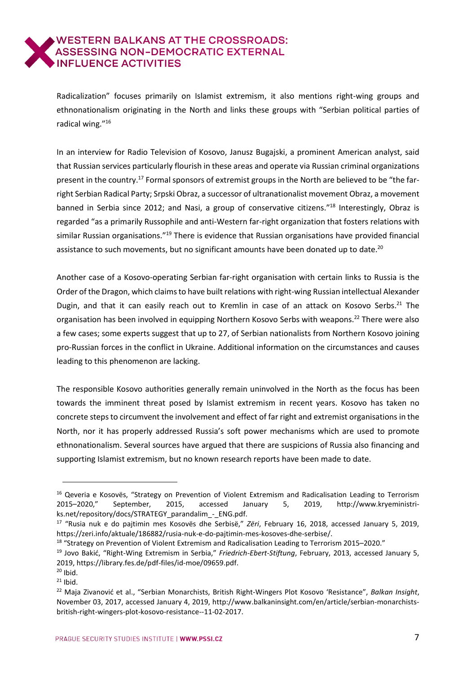Radicalization" focuses primarily on Islamist extremism, it also mentions right-wing groups and ethnonationalism originating in the North and links these groups with "Serbian political parties of radical wing."<sup>16</sup>

In an interview for Radio Television of Kosovo, Janusz Bugajski, a prominent American analyst, said that Russian services particularly flourish in these areas and operate via Russian criminal organizations present in the country.<sup>17</sup> Formal sponsors of extremist groups in the North are believed to be "the farright Serbian Radical Party; Srpski Obraz, a successor of ultranationalist movement Obraz, a movement banned in Serbia since 2012; and Nasi, a group of conservative citizens."<sup>18</sup> Interestingly, Obraz is regarded "as a primarily Russophile and anti-Western far-right organization that fosters relations with similar Russian organisations."<sup>19</sup> There is evidence that Russian organisations have provided financial assistance to such movements, but no significant amounts have been donated up to date.<sup>20</sup>

Another case of a Kosovo-operating Serbian far-right organisation with certain links to Russia is the Order of the Dragon, which claimsto have built relations with right-wing Russian intellectual Alexander Dugin, and that it can easily reach out to Kremlin in case of an attack on Kosovo Serbs.<sup>21</sup> The organisation has been involved in equipping Northern Kosovo Serbs with weapons.<sup>22</sup> There were also a few cases; some experts suggest that up to 27, of Serbian nationalists from Northern Kosovo joining pro-Russian forces in the conflict in Ukraine. Additional information on the circumstances and causes leading to this phenomenon are lacking.

The responsible Kosovo authorities generally remain uninvolved in the North as the focus has been towards the imminent threat posed by Islamist extremism in recent years. Kosovo has taken no concrete stepsto circumvent the involvement and effect of far right and extremist organisations in the North, nor it has properly addressed Russia's soft power mechanisms which are used to promote ethnonationalism. Several sources have argued that there are suspicions of Russia also financing and supporting Islamist extremism, but no known research reports have been made to date.

<sup>&</sup>lt;sup>16</sup> Qeveria e Kosovës, "Strategy on Prevention of Violent Extremism and Radicalisation Leading to Terrorism 2015–2020," September, 2015, accessed January 5, 2019, [http://www.kryeministri](http://www.kryeministri-ks.net/repository/docs/STRATEGY_parandalim_-_ENG.pdf)[ks.net/repository/docs/STRATEGY\\_parandalim\\_-\\_ENG.pdf.](http://www.kryeministri-ks.net/repository/docs/STRATEGY_parandalim_-_ENG.pdf)

<sup>17</sup> "Rusia nuk e do pajtimin mes Kosovës dhe Serbisë," *Zëri*, February 16, 2018, accessed January 5, 2019, [https://zeri.info/aktuale/186882/rusia-nuk-e-do-pajtimin-mes-kosoves-dhe-serbise/.](https://zeri.info/aktuale/186882/rusia-nuk-e-do-pajtimin-mes-kosoves-dhe-serbise/)

<sup>18</sup> "Strategy on Prevention of Violent Extremism and Radicalisation Leading to Terrorism 2015–2020."

<sup>19</sup> Jovo Bakić, "Right-Wing Extremism in Serbia," *Friedrich-Ebert-Stiftung*, February, 2013, accessed January 5, 2019, [https://library.fes.de/pdf-files/id-moe/09659.pdf.](https://library.fes.de/pdf-files/id-moe/09659.pdf)

 $20$  Ibid.

 $21$  Ibid.

<sup>22</sup> Maja Zivanović et al., "Serbian Monarchists, British Right-Wingers Plot Kosovo 'Resistance", *Balkan Insight*, November 03, 2017, accessed January 4, 2019, http://www.balkaninsight.com/en/article/serbian-monarchistsbritish-right-wingers-plot-kosovo-resistance--11-02-2017.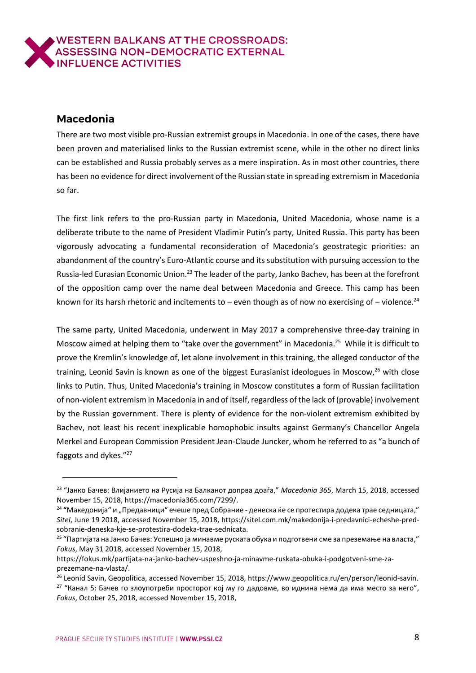## <span id="page-7-0"></span>**Macedonia**

 $\overline{a}$ 

There are two most visible pro-Russian extremist groups in Macedonia. In one of the cases, there have been proven and materialised links to the Russian extremist scene, while in the other no direct links can be established and Russia probably serves as a mere inspiration. As in most other countries, there has been no evidence for direct involvement of the Russian state in spreading extremism in Macedonia so far.

The first link refers to the pro-Russian party in Macedonia, United Macedonia, whose name is a deliberate tribute to the name of President Vladimir Putin's party, United Russia. This party has been vigorously advocating a fundamental reconsideration of Macedonia's geostrategic priorities: an abandonment of the country's Euro-Atlantic course and its substitution with pursuing accession to the Russia-led Eurasian Economic Union.<sup>23</sup> The leader of the party, Janko Bachev, has been at the forefront of the opposition camp over the name deal between Macedonia and Greece. This camp has been known for its harsh rhetoric and incitements to – even though as of now no exercising of – violence.<sup>24</sup>

The same party, United Macedonia, underwent in May 2017 a comprehensive three-day training in Moscow aimed at helping them to "take over the government" in Macedonia.<sup>25</sup> While it is difficult to prove the Kremlin's knowledge of, let alone involvement in this training, the alleged conductor of the training, Leonid Savin is known as one of the biggest Eurasianist ideologues in Moscow,<sup>26</sup> with close links to Putin. Thus, United Macedonia's training in Moscow constitutes a form of Russian facilitation of non-violent extremism in Macedonia in and of itself, regardless of the lack of (provable) involvement by the Russian government. There is plenty of evidence for the non-violent extremism exhibited by Bachev, not least his recent inexplicable homophobic insults against Germany's Chancellor Angela Merkel and European Commission President Jean-Claude Juncker, whom he referred to as "a bunch of faggots and dykes."<sup>27</sup>

<sup>23</sup> "Јанко Бачев: Влијанието на Русија на Балканот допрва доаѓа," *Macedonia 365*, March 15, 2018, accessed November 15, 2018, [https://macedonia365.com/7299/.](https://macedonia365.com/7299/)

<sup>&</sup>lt;sup>24</sup> "Македонија" и "Предавници" ечеше пред Собрание - денеска ќе се протестира додека трае седницата," *Sitel*, June 19 2018, accessed November 15, 2018, [https://sitel.com.mk/makedonija-i-predavnici-echeshe-pred](https://sitel.com.mk/makedonija-i-predavnici-echeshe-pred-sobranie-deneska-kje-se-protestira-dodeka-trae-sednicata)[sobranie-deneska-kje-se-protestira-dodeka-trae-sednicata.](https://sitel.com.mk/makedonija-i-predavnici-echeshe-pred-sobranie-deneska-kje-se-protestira-dodeka-trae-sednicata)

<sup>&</sup>lt;sup>25</sup> "Партијата на Јанко Бачев: Успешно ја минавме руската обука и подготвени сме за преземање на власта," *Fokus*, May 31 2018, accessed November 15, 2018,

[https://fokus.mk/partijata-na-janko-bachev-uspeshno-ja-minavme-ruskata-obuka-i-podgotveni-sme-za](https://fokus.mk/partijata-na-janko-bachev-uspeshno-ja-minavme-ruskata-obuka-i-podgotveni-sme-za-prezemane-na-vlasta/)[prezemane-na-vlasta/.](https://fokus.mk/partijata-na-janko-bachev-uspeshno-ja-minavme-ruskata-obuka-i-podgotveni-sme-za-prezemane-na-vlasta/)

<sup>26</sup> Leonid Savin, Geopolitica, accessed November 15, 2018, [https://www.geopolitica.ru/en/person/leonid-savin.](https://www.geopolitica.ru/en/person/leonid-savin)

<sup>&</sup>lt;sup>27</sup> "Канал 5: Бачев го злоупотреби просторот кој му го дадовме, во иднина нема да има место за него", *Fokus*, October 25, 2018, accessed November 15, 2018,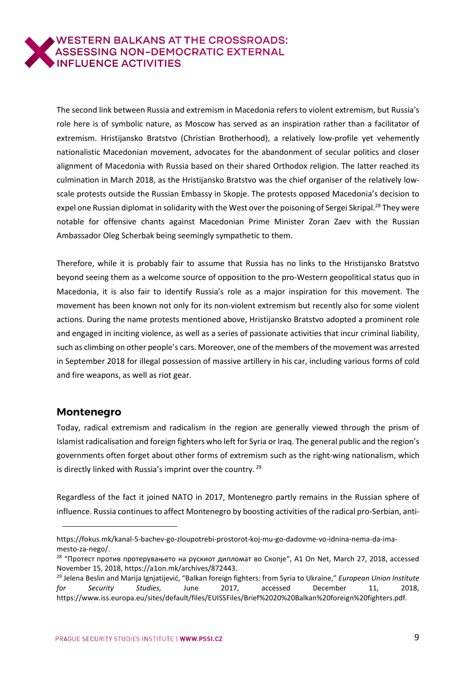The second link between Russia and extremism in Macedonia refers to violent extremism, but Russia's role here is of symbolic nature, as Moscow has served as an inspiration rather than a facilitator of extremism. Hristijansko Bratstvo (Christian Brotherhood), a relatively low-profile yet vehemently nationalistic Macedonian movement, advocates for the abandonment of secular politics and closer alignment of Macedonia with Russia based on their shared Orthodox religion. The latter reached its culmination in March 2018, as the Hristijansko Bratstvo was the chief organiser of the relatively lowscale protests outside the Russian Embassy in Skopje. The protests opposed Macedonia's decision to expel one Russian diplomat in solidarity with the West over the poisoning of Sergei Skripal.<sup>28</sup> They were notable for offensive chants against Macedonian Prime Minister Zoran Zaev with the Russian Ambassador Oleg Scherbak being seemingly sympathetic to them.

Therefore, while it is probably fair to assume that Russia has no links to the Hristijansko Bratstvo beyond seeing them as a welcome source of opposition to the pro-Western geopolitical status quo in Macedonia, it is also fair to identify Russia's role as a major inspiration for this movement. The movement has been known not only for its non-violent extremism but recently also for some violent actions. During the name protests mentioned above, Hristijansko Bratstvo adopted a prominent role and engaged in inciting violence, as well as a series of passionate activities that incur criminal liability, such as climbing on other people's cars. Moreover, one of the members of the movement was arrested in September 2018 for illegal possession of massive artillery in his car, including various forms of cold and fire weapons, as well as riot gear.

#### <span id="page-8-0"></span>**Montenegro**

 $\overline{a}$ 

Today, radical extremism and radicalism in the region are generally viewed through the prism of Islamist radicalisation and foreign fighters who left for Syria or Iraq. The general public and the region's governments often forget about other forms of extremism such as the right-wing nationalism, which is directly linked with Russia's imprint over the country.<sup>29</sup>

Regardless of the fact it joined NATO in 2017, Montenegro partly remains in the Russian sphere of influence. Russia continues to affect Montenegro by boosting activities of the radical pro-Serbian, anti-

[https://fokus.mk/kanal-5-bachev-go-zloupotrebi-prostorot-koj-mu-go-dadovme-vo-idnina-nema-da-ima](https://fokus.mk/kanal-5-bachev-go-zloupotrebi-prostorot-koj-mu-go-dadovme-vo-idnina-nema-da-ima-mesto-za-nego/)[mesto-za-nego/.](https://fokus.mk/kanal-5-bachev-go-zloupotrebi-prostorot-koj-mu-go-dadovme-vo-idnina-nema-da-ima-mesto-za-nego/)

<sup>&</sup>lt;sup>28</sup> "Протест против протерувањето на рускиот дипломат во Скопје", A1 On Net, March 27, 2018, accessed November 15, 2018, [https://a1on.mk/archives/872443.](https://a1on.mk/archives/872443)

<sup>29</sup> Jelena Beslin and Marija Ignjatijević, "Balkan foreign fighters: from Syria to Ukraine," *European Union Institute for Security Studies,* June 2017, accessed December 11, 2018, https://www.iss.europa.eu/sites/default/files/EUISSFiles/Brief%2020%20Balkan%20foreign%20fighters.pdf.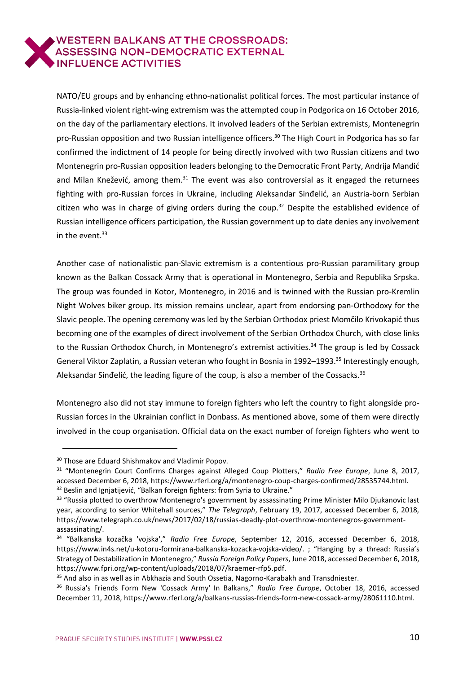NATO/EU groups and by enhancing ethno-nationalist political forces. The most particular instance of Russia-linked violent right-wing extremism was the attempted coup in Podgorica on 16 October 2016, on the day of the parliamentary elections. It involved leaders of the Serbian extremists, Montenegrin pro-Russian opposition and two Russian intelligence officers.<sup>30</sup> The High Court in Podgorica has so far confirmed the indictment of 14 people for being directly involved with two Russian citizens and two Montenegrin pro-Russian opposition leaders belonging to the Democratic Front Party, Andrija Mandić and Milan Knežević, among them. $31$  The event was also controversial as it engaged the returnees fighting with pro-Russian forces in Ukraine, including Aleksandar Sinđelić, an Austria-born Serbian citizen who was in charge of giving orders during the coup.<sup>32</sup> Despite the established evidence of Russian intelligence officers participation, the Russian government up to date denies any involvement in the event. $33$ 

Another case of nationalistic pan-Slavic extremism is a contentious pro-Russian paramilitary group known as the Balkan Cossack Army that is operational in Montenegro, Serbia and Republika Srpska. The group was founded in Kotor, Montenegro, in 2016 and is twinned with the Russian pro-Kremlin Night Wolves biker group. Its mission remains unclear, apart from endorsing pan-Orthodoxy for the Slavic people. The opening ceremony was led by the Serbian Orthodox priest Momčilo Krivokapić thus becoming one of the examples of direct involvement of the Serbian Orthodox Church, with close links to the Russian Orthodox Church, in Montenegro's extremist activities.<sup>34</sup> The group is led by Cossack General Viktor Zaplatin, a Russian veteran who fought in Bosnia in 1992-1993.<sup>35</sup> Interestingly enough, Aleksandar Sinđelić, the leading figure of the coup, is also a member of the Cossacks.<sup>36</sup>

Montenegro also did not stay immune to foreign fighters who left the country to fight alongside pro-Russian forces in the Ukrainian conflict in Donbass. As mentioned above, some of them were directly involved in the coup organisation. Official data on the exact number of foreign fighters who went to

<sup>&</sup>lt;sup>30</sup> Those are Eduard Shishmakov and Vladimir Popov.

<sup>31</sup> "Montenegrin Court Confirms Charges against Alleged Coup Plotters," *Radio Free Europe*, June 8, 2017, accessed December 6, 2018, [https://www.rferl.org/a/montenegro-coup-charges-confirmed/28535744.html.](https://www.rferl.org/a/montenegro-coup-charges-confirmed/28535744.html) <sup>32</sup> Beslin and Ignjatijević, "Balkan foreign fighters: from Syria to Ukraine."

<sup>&</sup>lt;sup>33</sup> "Russia plotted to overthrow Montenegro's government by assassinating Prime Minister Milo Djukanovic last

year, according to senior Whitehall sources," *The Telegraph*, February 19, 2017, accessed December 6, 2018, [https://www.telegraph.co.uk/news/2017/02/18/russias-deadly-plot-overthrow-montenegros-government](https://www.telegraph.co.uk/news/2017/02/18/russias-deadly-plot-overthrow-montenegros-government-assassinating/)[assassinating/.](https://www.telegraph.co.uk/news/2017/02/18/russias-deadly-plot-overthrow-montenegros-government-assassinating/)

<sup>34</sup> "Balkanska kozačka 'vojska'," *Radio Free Europe*, September 12, 2016, accessed December 6, 2018, [https://www.in4s.net/u-kotoru-formirana-balkanska-kozacka-vojska-video/.](https://www.in4s.net/u-kotoru-formirana-balkanska-kozacka-vojska-video/) ; "Hanging by a thread: Russia's Strategy of Destabilization in Montenegro," *Russia Foreign Policy Papers*, June 2018, accessed December 6, 2018, https://www.fpri.org/wp-content/uploads/2018/07/kraemer-rfp5.pdf.

<sup>&</sup>lt;sup>35</sup> And also in as well as in Abkhazia and South Ossetia, Nagorno-Karabakh and Transdniester.

<sup>36</sup> Russia's Friends Form New 'Cossack Army' In Balkans," *Radio Free Europe*, October 18, 2016, accessed December 11, 2018, https://www.rferl.org/a/balkans-russias-friends-form-new-cossack-army/28061110.html.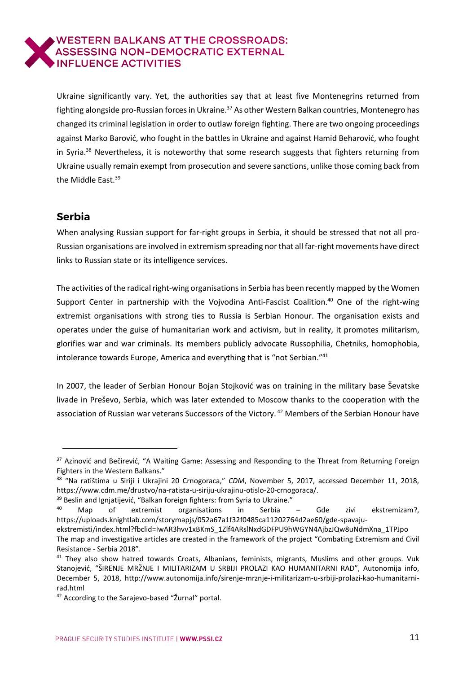Ukraine significantly vary. Yet, the authorities say that at least five Montenegrins returned from fighting alongside pro-Russian forces in Ukraine.<sup>37</sup> As other Western Balkan countries, Montenegro has changed its criminal legislation in order to outlaw foreign fighting. There are two ongoing proceedings against Marko Barović, who fought in the battles in Ukraine and against Hamid Beharović, who fought in Syria. $38$  Nevertheless, it is noteworthy that some research suggests that fighters returning from Ukraine usually remain exempt from prosecution and severe sanctions, unlike those coming back from the Middle East.<sup>39</sup>

# <span id="page-10-0"></span>**Serbia**

1

When analysing Russian support for far-right groups in Serbia, it should be stressed that not all pro-Russian organisations are involved in extremism spreading northat all far-right movements have direct links to Russian state or its intelligence services.

The activities of the radical right-wing organisations in Serbia has been recently mapped by the Women Support Center in partnership with the Vojvodina Anti-Fascist Coalition.<sup>40</sup> One of the right-wing extremist organisations with strong ties to Russia is Serbian Honour. The organisation exists and operates under the guise of humanitarian work and activism, but in reality, it promotes militarism, glorifies war and war criminals. Its members publicly advocate Russophilia, Chetniks, homophobia, intolerance towards Europe, America and everything that is "not Serbian."<sup>41</sup>

In 2007, the leader of Serbian Honour Bojan Stojković was on training in the military base Ševatske livade in Preševo, Serbia, which was later extended to Moscow thanks to the cooperation with the association of Russian war veterans Successors of the Victory.<sup>42</sup> Members of the Serbian Honour have

<sup>37</sup> Azinović and Bečirević, "A Waiting Game: Assessing and Responding to the Threat from Returning Foreign Fighters in the Western Balkans."

<sup>38</sup> "Na ratištima u Siriji i Ukrajini 20 Crnogoraca," *CDM*, November 5, 2017, accessed December 11, 2018, [https://www.cdm.me/drustvo/na-ratista-u-siriju-ukrajinu-otislo-20-crnogoraca/.](https://www.cdm.me/drustvo/na-ratista-u-siriju-ukrajinu-otislo-20-crnogoraca/)

<sup>&</sup>lt;sup>39</sup> Beslin and Ignjatijević, "Balkan foreign fighters: from Syria to Ukraine."

<sup>40</sup> Map of extremist organisations in Serbia – Gde zivi ekstremizam?, https://uploads.knightlab.com/storymapjs/052a67a1f32f0485ca11202764d2ae60/gde-spavaju-

ekstremisti/index.html?fbclid=IwAR3hvv1xBKmS\_1Zlf4ARslNxdGDFPU9hWGYN4AjbzJQw8uNdmXna\_1TPJpo The map and investigative articles are created in the framework of the project "Combating Extremism and Civil Resistance - Serbia 2018".

<sup>&</sup>lt;sup>41</sup> They also show hatred towards Croats, Albanians, feminists, migrants, Muslims and other groups. Vuk Stanojević, "ŠIRENJE MRŽNJE I MILITARIZAM U SRBIJI PROLAZI KAO HUMANITARNI RAD", Autonomija info, December 5, 2018, http://www.autonomija.info/sirenje-mrznje-i-militarizam-u-srbiji-prolazi-kao-humanitarnirad.html

<sup>&</sup>lt;sup>42</sup> According to the Sarajevo-based "Žurnal" portal.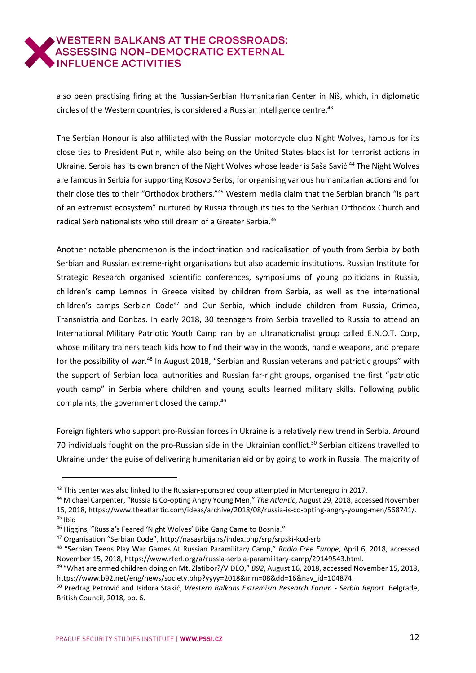also been practising firing at the Russian-Serbian Humanitarian Center in Niš, which, in diplomatic circles of the Western countries, is considered a Russian intelligence centre.<sup>43</sup>

The Serbian Honour is also affiliated with the Russian motorcycle club Night Wolves, famous for its close ties to President Putin, while also being on the United States blacklist for terrorist actions in Ukraine. Serbia has its own branch of the Night Wolves whose leader is Saša Savić.<sup>44</sup> The Night Wolves are famous in Serbia for supporting Kosovo Serbs, for organising various humanitarian actions and for their close ties to their "Orthodox brothers."<sup>45</sup> Western media claim that the Serbian branch "is part of an extremist ecosystem" nurtured by Russia through its ties to the Serbian Orthodox Church and radical Serb nationalists who still dream of a Greater Serbia.<sup>46</sup>

Another notable phenomenon is the indoctrination and radicalisation of youth from Serbia by both Serbian and Russian extreme-right organisations but also academic institutions. Russian Institute for Strategic Research organised scientific conferences, symposiums of young politicians in Russia, children's camp Lemnos in Greece visited by children from Serbia, as well as the international children's camps Serbian Code<sup>47</sup> and Our Serbia, which include children from Russia, Crimea, Transnistria and Donbas. In early 2018, 30 teenagers from Serbia travelled to Russia to attend an International Military Patriotic Youth Camp ran by an ultranationalist group called E.N.O.T. Corp, whose military trainers teach kids how to find their way in the woods, handle weapons, and prepare for the possibility of war.<sup>48</sup> In August 2018, "Serbian and Russian veterans and patriotic groups" with the support of Serbian local authorities and Russian far-right groups, organised the first "patriotic youth camp" in Serbia where children and young adults learned military skills. Following public complaints, the government closed the camp.<sup>49</sup>

Foreign fighters who support pro-Russian forces in Ukraine is a relatively new trend in Serbia. Around 70 individuals fought on the pro-Russian side in the Ukrainian conflict.<sup>50</sup> Serbian citizens travelled to Ukraine under the guise of delivering humanitarian aid or by going to work in Russia. The majority of

<sup>&</sup>lt;sup>43</sup> This center was also linked to the Russian-sponsored coup attempted in Montenegro in 2017.

<sup>44</sup> Michael Carpenter, "Russia Is Co-opting Angry Young Men," *The Atlantic*, August 29, 2018, accessed November 15, 2018, https://www.theatlantic.com/ideas/archive/2018/08/russia-is-co-opting-angry-young-men/568741/. <sup>45</sup> Ibid

<sup>46</sup> Higgins, "Russia's Feared 'Night Wolves' Bike Gang Came to Bosnia."

<sup>47</sup> Organisation "Serbian Code", http://nasasrbija.rs/index.php/srp/srpski-kod-srb

<sup>48</sup> "Serbian Teens Play War Games At Russian Paramilitary Camp," *Radio Free Europe*, April 6, 2018, accessed November 15, 2018, https://www.rferl.org/a/russia-serbia-paramilitary-camp/29149543.html.

<sup>49</sup> "What are armed children doing on Mt. Zlatibor?/VIDEO," *B92*, August 16, 2018, accessed November 15, 2018, https://www.b92.net/eng/news/society.php?yyyy=2018&mm=08&dd=16&nav\_id=104874.

<sup>50</sup> Predrag Petrović and Isidora Stakić, *Western Balkans Extremism Research Forum - Serbia Report*. Belgrade, British Council, 2018, pp. 6.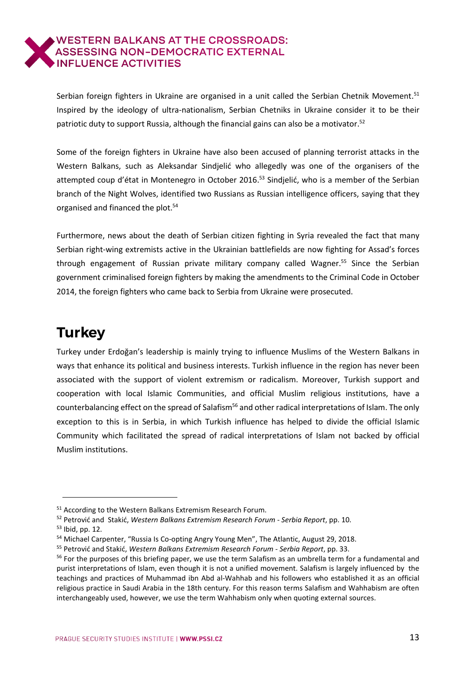Serbian foreign fighters in Ukraine are organised in a unit called the Serbian Chetnik Movement.<sup>51</sup> Inspired by the ideology of ultra-nationalism, Serbian Chetniks in Ukraine consider it to be their patriotic duty to support Russia, although the financial gains can also be a motivator.<sup>52</sup>

Some of the foreign fighters in Ukraine have also been accused of planning terrorist attacks in the Western Balkans, such as Aleksandar Sindjelić who allegedly was one of the organisers of the attempted coup d'état in Montenegro in October 2016.<sup>53</sup> Sindjelić, who is a member of the Serbian branch of the Night Wolves, identified two Russians as Russian intelligence officers, saying that they organised and financed the plot.<sup>54</sup>

Furthermore, news about the death of Serbian citizen fighting in Syria revealed the fact that many Serbian right-wing extremists active in the Ukrainian battlefields are now fighting for Assad's forces through engagement of Russian private military company called Wagner.<sup>55</sup> Since the Serbian government criminalised foreign fighters by making the amendments to the Criminal Code in October 2014, the foreign fighters who came back to Serbia from Ukraine were prosecuted.

# <span id="page-12-0"></span>**Turkey**

Turkey under Erdoğan's leadership is mainly trying to influence Muslims of the Western Balkans in ways that enhance its political and business interests. Turkish influence in the region has never been associated with the support of violent extremism or radicalism. Moreover, Turkish support and cooperation with local Islamic Communities, and official Muslim religious institutions, have a counterbalancing effect on the spread of Salafism<sup>56</sup> and other radical interpretations of Islam. The only exception to this is in Serbia, in which Turkish influence has helped to divide the official Islamic Community which facilitated the spread of radical interpretations of Islam not backed by official Muslim institutions.

<sup>51</sup> According to the Western Balkans Extremism Research Forum.

<sup>52</sup> Petrović and Stakić, *Western Balkans Extremism Research Forum - Serbia Report*, pp. 10.

<sup>53</sup> Ibid, pp. 12.

<sup>54</sup> Michael Carpenter, "Russia Is Co-opting Angry Young Men", The Atlantic, August 29, 2018.

<sup>55</sup> Petrović and Stakić, *Western Balkans Extremism Research Forum - Serbia Report*, pp. 33.

<sup>&</sup>lt;sup>56</sup> For the purposes of this briefing paper, we use the term Salafism as an umbrella term for a fundamental and purist interpretations of Islam, even though it is not a unified movement. Salafism is largely influenced by the teachings and practices of Muhammad ibn Abd al-Wahhab and his followers who established it as an official religious practice in Saudi Arabia in the 18th century. For this reason terms Salafism and Wahhabism are often interchangeably used, however, we use the term Wahhabism only when quoting external sources.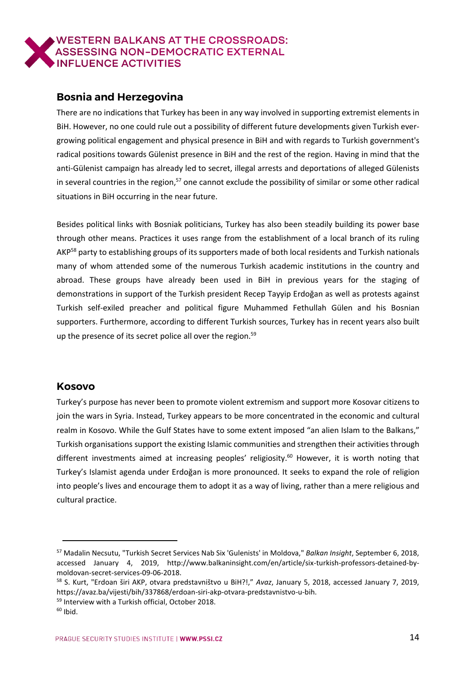

## <span id="page-13-0"></span>**Bosnia and Herzegovina**

There are no indications that Turkey has been in any way involved in supporting extremist elements in BiH. However, no one could rule out a possibility of different future developments given Turkish evergrowing political engagement and physical presence in BiH and with regards to Turkish government's radical positions towards Gülenist presence in BiH and the rest of the region. Having in mind that the anti-Gülenist campaign has already led to secret, illegal arrests and deportations of alleged Gülenists in several countries in the region, $57$  one cannot exclude the possibility of similar or some other radical situations in BiH occurring in the near future.

Besides political links with Bosniak politicians, Turkey has also been steadily building its power base through other means. Practices it uses range from the establishment of a local branch of its ruling AKP<sup>58</sup> party to establishing groups of its supporters made of both local residents and Turkish nationals many of whom attended some of the numerous Turkish academic institutions in the country and abroad. These groups have already been used in BiH in previous years for the staging of demonstrations in support of the Turkish president Recep Tayyip Erdoğan as well as protests against Turkish self-exiled preacher and political figure Muhammed Fethullah Gülen and his Bosnian supporters. Furthermore, according to different Turkish sources, Turkey has in recent years also built up the presence of its secret police all over the region.<sup>59</sup>

#### <span id="page-13-1"></span>**Kosovo**

Turkey's purpose has never been to promote violent extremism and support more Kosovar citizens to join the wars in Syria. Instead, Turkey appears to be more concentrated in the economic and cultural realm in Kosovo. While the Gulf States have to some extent imposed "an alien Islam to the Balkans," Turkish organisations support the existing Islamic communities and strengthen their activities through different investments aimed at increasing peoples' religiosity.<sup>60</sup> However, it is worth noting that Turkey's Islamist agenda under Erdoğan is more pronounced. It seeks to expand the role of religion into people's lives and encourage them to adopt it as a way of living, rather than a mere religious and cultural practice.

<sup>57</sup> Madalin Necsutu, "Turkish Secret Services Nab Six 'Gulenists' in Moldova," *Balkan Insight*, September 6, 2018, accessed January 4, 2019, http://www.balkaninsight.com/en/article/six-turkish-professors-detained-bymoldovan-secret-services-09-06-2018.

<sup>58</sup> S. Kurt, "Erdoan širi AKP, otvara predstavništvo u BiH?!," *Avaz*, January 5, 2018, accessed January 7, 2019, https://avaz.ba/vijesti/bih/337868/erdoan-siri-akp-otvara-predstavnistvo-u-bih.

<sup>59</sup> Interview with a Turkish official, October 2018.

 $60$  Ibid.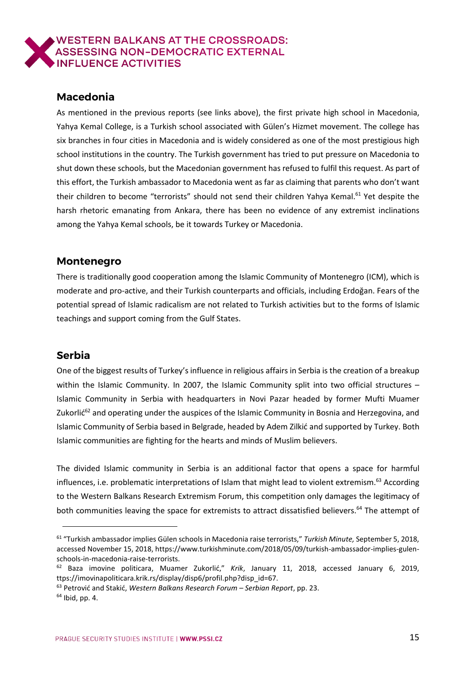# <span id="page-14-0"></span>**Macedonia**

As mentioned in the previous reports (see links above), the first private high school in Macedonia, Yahya Kemal College, is a Turkish school associated with Gülen's Hizmet movement. The college has six branches in four cities in Macedonia and is widely considered as one of the most prestigious high school institutions in the country. The Turkish government has tried to put pressure on Macedonia to shut down these schools, but the Macedonian government has refused to fulfil this request. As part of this effort, the Turkish ambassador to Macedonia went as far as claiming that parents who don't want their children to become "terrorists" should not send their children Yahya Kemal.<sup>61</sup> Yet despite the harsh rhetoric emanating from Ankara, there has been no evidence of any extremist inclinations among the Yahya Kemal schools, be it towards Turkey or Macedonia.

#### <span id="page-14-1"></span>**Montenegro**

There is traditionally good cooperation among the Islamic Community of Montenegro (ICM), which is moderate and pro-active, and their Turkish counterparts and officials, including Erdoğan. Fears of the potential spread of Islamic radicalism are not related to Turkish activities but to the forms of Islamic teachings and support coming from the Gulf States.

#### <span id="page-14-2"></span>**Serbia**

 $\overline{a}$ 

One of the biggest results of Turkey's influence in religious affairs in Serbia is the creation of a breakup within the Islamic Community. In 2007, the Islamic Community split into two official structures -Islamic Community in Serbia with headquarters in Novi Pazar headed by former Mufti Muamer Zukorlić<sup>62</sup> and operating under the auspices of the Islamic Community in Bosnia and Herzegovina, and Islamic Community of Serbia based in Belgrade, headed by Adem Zilkić and supported by Turkey. Both Islamic communities are fighting for the hearts and minds of Muslim believers.

The divided Islamic community in Serbia is an additional factor that opens a space for harmful influences, i.e. problematic interpretations of Islam that might lead to violent extremism.<sup>63</sup> According to the Western Balkans Research Extremism Forum, this competition only damages the legitimacy of both communities leaving the space for extremists to attract dissatisfied believers.<sup>64</sup> The attempt of

<sup>61</sup> "Turkish ambassador implies Gülen schools in Macedonia raise terrorists," *Turkish Minute,* September 5, 2018, accessed November 15, 2018, [https://www.turkishminute.com/2018/05/09/turkish-ambassador-implies-gulen](https://www.turkishminute.com/2018/05/09/turkish-ambassador-implies-gulen-schools-in-macedonia-raise-terrorists)[schools-in-macedonia-raise-terrorists.](https://www.turkishminute.com/2018/05/09/turkish-ambassador-implies-gulen-schools-in-macedonia-raise-terrorists)

<sup>62</sup> Baza imovine politicara, Muamer Zukorlić," *Krik*, January 11, 2018, accessed January 6, 2019, ttps://imovinapoliticara.krik.rs/display/disp6/profil.php?disp\_id=67.

<sup>63</sup> Petrović and Stakić, *Western Balkans Research Forum – Serbian Report*, pp. 23.  $64$  Ibid, pp. 4.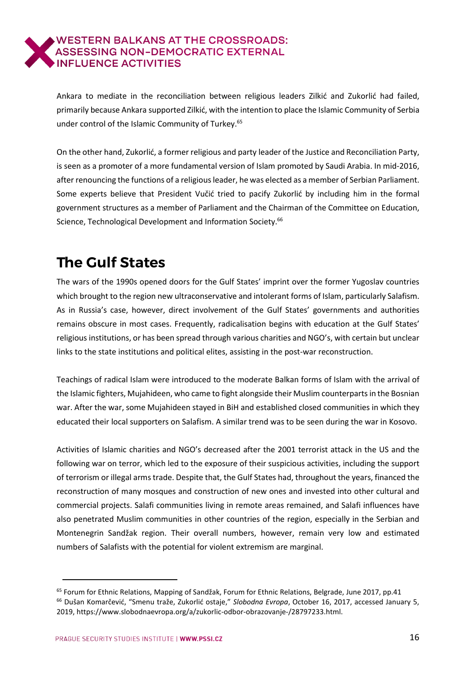Ankara to mediate in the reconciliation between religious leaders Zilkić and Zukorlić had failed, primarily because Ankara supported Zilkić, with the intention to place the Islamic Community of Serbia under control of the Islamic Community of Turkey.<sup>65</sup>

On the other hand, Zukorlić, a former religious and party leader of the Justice and Reconciliation Party, is seen as a promoter of a more fundamental version of Islam promoted by Saudi Arabia. In mid-2016, after renouncing the functions of a religious leader, he was elected as a member of Serbian Parliament. Some experts believe that President Vučić tried to pacify Zukorlić by including him in the formal government structures as a member of Parliament and the Chairman of the Committee on Education, Science, Technological Development and Information Society.<sup>66</sup>

# <span id="page-15-0"></span>**The Gulf States**

The wars of the 1990s opened doors for the Gulf States' imprint over the former Yugoslav countries which brought to the region new ultraconservative and intolerant forms of Islam, particularly Salafism. As in Russia's case, however, direct involvement of the Gulf States' governments and authorities remains obscure in most cases. Frequently, radicalisation begins with education at the Gulf States' religious institutions, or has been spread through various charities and NGO's, with certain but unclear links to the state institutions and political elites, assisting in the post-war reconstruction.

Teachings of radical Islam were introduced to the moderate Balkan forms of Islam with the arrival of the Islamic fighters, Mujahideen, who came to fight alongside their Muslim counterpartsin the Bosnian war. After the war, some Mujahideen stayed in BiH and established closed communities in which they educated their local supporters on Salafism. A similar trend was to be seen during the war in Kosovo.

Activities of Islamic charities and NGO's decreased after the 2001 terrorist attack in the US and the following war on terror, which led to the exposure of their suspicious activities, including the support of terrorism or illegal armstrade. Despite that, the Gulf States had, throughout the years, financed the reconstruction of many mosques and construction of new ones and invested into other cultural and commercial projects. Salafi communities living in remote areas remained, and Salafi influences have also penetrated Muslim communities in other countries of the region, especially in the Serbian and Montenegrin Sandžak region. Their overall numbers, however, remain very low and estimated numbers of Salafists with the potential for violent extremism are marginal.

<sup>&</sup>lt;sup>65</sup> Forum for Ethnic Relations, Mapping of Sandžak, Forum for Ethnic Relations, Belgrade, June 2017, pp.41 <sup>66</sup> Dušan Komarčević, "Smenu traže, Zukorlić ostaje," *Slobodna Evropa*, October 16, 2017, accessed January 5, 2019, https://www.slobodnaevropa.org/a/zukorlic-odbor-obrazovanje-/28797233.html.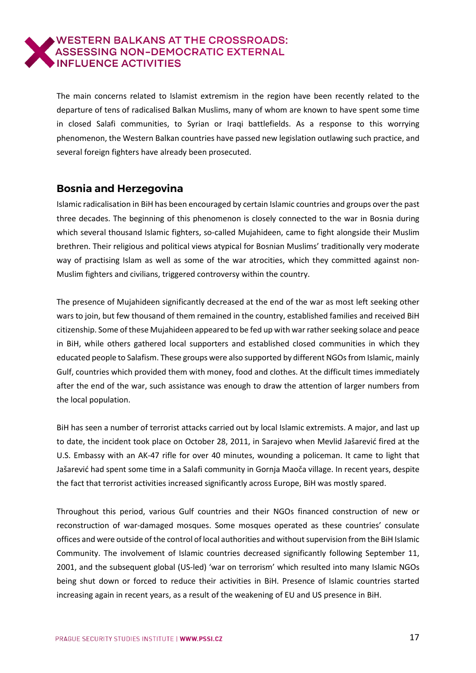# **WESTERN BALKANS AT THE CROSSROADS:** ASSESSING NON-DEMOCRATIC EXTERNAL

The main concerns related to Islamist extremism in the region have been recently related to the departure of tens of radicalised Balkan Muslims, many of whom are known to have spent some time in closed Salafi communities, to Syrian or Iraqi battlefields. As a response to this worrying phenomenon, the Western Balkan countries have passed new legislation outlawing such practice, and several foreign fighters have already been prosecuted.

# <span id="page-16-0"></span>**Bosnia and Herzegovina**

Islamic radicalisation in BiH has been encouraged by certain Islamic countries and groups over the past three decades. The beginning of this phenomenon is closely connected to the war in Bosnia during which several thousand Islamic fighters, so-called Mujahideen, came to fight alongside their Muslim brethren. Their religious and political views atypical for Bosnian Muslims' traditionally very moderate way of practising Islam as well as some of the war atrocities, which they committed against non-Muslim fighters and civilians, triggered controversy within the country.

The presence of Mujahideen significantly decreased at the end of the war as most left seeking other wars to join, but few thousand of them remained in the country, established families and received BiH citizenship. Some of these Mujahideen appeared to be fed up with war rather seeking solace and peace in BiH, while others gathered local supporters and established closed communities in which they educated people to Salafism. These groups were also supported by different NGOs from Islamic, mainly Gulf, countries which provided them with money, food and clothes. At the difficult times immediately after the end of the war, such assistance was enough to draw the attention of larger numbers from the local population.

BiH has seen a number of terrorist attacks carried out by local Islamic extremists. A major, and last up to date, the incident took place on October 28, 2011, in Sarajevo when Mevlid Jašarević fired at the U.S. Embassy with an AK-47 rifle for over 40 minutes, wounding a policeman. It came to light that Jašarević had spent some time in a Salafi community in Gornja Maoča village. In recent years, despite the fact that terrorist activities increased significantly across Europe, BiH was mostly spared.

Throughout this period, various Gulf countries and their NGOs financed construction of new or reconstruction of war-damaged mosques. Some mosques operated as these countries' consulate offices and were outside ofthe control of local authorities and withoutsupervision from the BiH Islamic Community. The involvement of Islamic countries decreased significantly following September 11, 2001, and the subsequent global (US-led) 'war on terrorism' which resulted into many Islamic NGOs being shut down or forced to reduce their activities in BiH. Presence of Islamic countries started increasing again in recent years, as a result of the weakening of EU and US presence in BiH.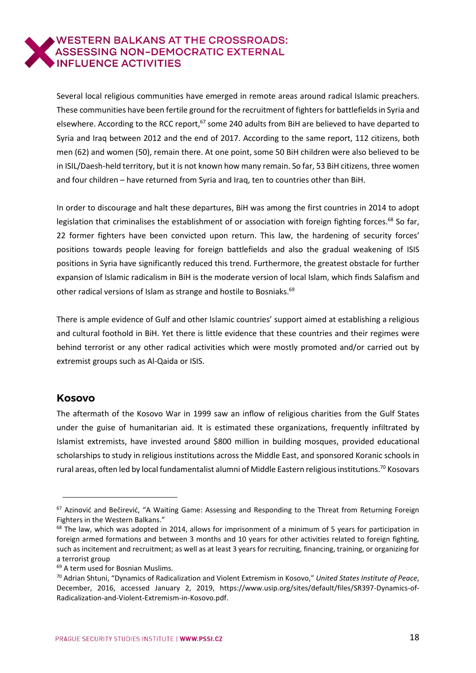Several local religious communities have emerged in remote areas around radical Islamic preachers. These communities have been fertile ground for the recruitment of fighters for battlefields in Syria and elsewhere. According to the RCC report, $67$  some 240 adults from BiH are believed to have departed to Syria and Iraq between 2012 and the end of 2017. According to the same report, 112 citizens, both men (62) and women (50), remain there. At one point, some 50 BiH children were also believed to be in ISIL/Daesh-held territory, but it is not known how many remain. So far, 53 BiH citizens, three women and four children – have returned from Syria and Iraq, ten to countries other than BiH.

In order to discourage and halt these departures, BiH was among the first countries in 2014 to adopt legislation that criminalises the establishment of or association with foreign fighting forces.<sup>68</sup> So far, 22 former fighters have been convicted upon return. This law, the hardening of security forces' positions towards people leaving for foreign battlefields and also the gradual weakening of ISIS positions in Syria have significantly reduced this trend. Furthermore, the greatest obstacle for further expansion of Islamic radicalism in BiH is the moderate version of local Islam, which finds Salafism and other radical versions of Islam as strange and hostile to Bosniaks.<sup>69</sup>

There is ample evidence of Gulf and other Islamic countries' support aimed at establishing a religious and cultural foothold in BiH. Yet there is little evidence that these countries and their regimes were behind terrorist or any other radical activities which were mostly promoted and/or carried out by extremist groups such as Al-Qaida or ISIS.

#### <span id="page-17-0"></span>**Kosovo**

 $\overline{a}$ 

The aftermath of the Kosovo War in 1999 saw an inflow of religious charities from the Gulf States under the guise of humanitarian aid. It is estimated these organizations, frequently infiltrated by Islamist extremists, have invested around \$800 million in building mosques, provided educational scholarships to study in religious institutions across the Middle East, and sponsored Koranic schools in rural areas, often led by local fundamentalist alumni of Middle Eastern religious institutions.<sup>70</sup> Kosovars

<sup>&</sup>lt;sup>67</sup> Azinović and Bečirević, "A Waiting Game: Assessing and Responding to the Threat from Returning Foreign Fighters in the Western Balkans."

 $68$  The law, which was adopted in 2014, allows for imprisonment of a minimum of 5 years for participation in foreign armed formations and between 3 months and 10 years for other activities related to foreign fighting, such as incitement and recruitment; as well as at least 3 years for recruiting, financing, training, or organizing for a terrorist group

<sup>69</sup> A term used for Bosnian Muslims.

<sup>70</sup> Adrian Shtuni, "Dynamics of Radicalization and Violent Extremism in Kosovo," *United States Institute of Peace*, December, 2016, accessed January 2, 2019, [https://www.usip.org/sites/default/files/SR397-Dynamics-of-](https://www.usip.org/sites/default/files/SR397-Dynamics-of-Radicalization-and-Violent-Extremism-in-Kosovo.pdf)[Radicalization-and-Violent-Extremism-in-Kosovo.pdf.](https://www.usip.org/sites/default/files/SR397-Dynamics-of-Radicalization-and-Violent-Extremism-in-Kosovo.pdf)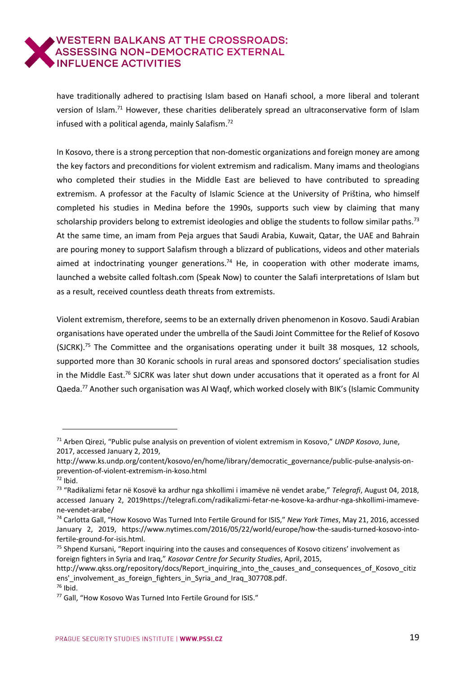have traditionally adhered to practising Islam based on Hanafi school, a more liberal and tolerant version of Islam.<sup>71</sup> However, these charities deliberately spread an ultraconservative form of Islam infused with a political agenda, mainly Salafism. 72

In Kosovo, there is a strong perception that non-domestic organizations and foreign money are among the key factors and preconditions for violent extremism and radicalism. Many imams and theologians who completed their studies in the Middle East are believed to have contributed to spreading extremism. A professor at the Faculty of Islamic Science at the University of Priština, who himself completed his studies in Medina before the 1990s, supports such view by claiming that many scholarship providers belong to extremist ideologies and oblige the students to follow similar paths.<sup>73</sup> At the same time, an imam from Peja argues that Saudi Arabia, Kuwait, Qatar, the UAE and Bahrain are pouring money to support Salafism through a blizzard of publications, videos and other materials aimed at indoctrinating younger generations.<sup>74</sup> He, in cooperation with other moderate imams, launched a website called foltash.com (Speak Now) to counter the Salafi interpretations of Islam but as a result, received countless death threats from extremists.

Violent extremism, therefore, seems to be an externally driven phenomenon in Kosovo. Saudi Arabian organisations have operated under the umbrella of the Saudi Joint Committee for the Relief of Kosovo (SJCRK).<sup>75</sup> The Committee and the organisations operating under it built 38 mosques, 12 schools, supported more than 30 Koranic schools in rural areas and sponsored doctors' specialisation studies in the Middle East.<sup>76</sup> SJCRK was later shut down under accusations that it operated as a front for Al Qaeda.<sup>77</sup> Another such organisation was Al Waqf, which worked closely with BIK's (Islamic Community

<sup>71</sup> Arben Qirezi, "Public pulse analysis on prevention of violent extremism in Kosovo," *UNDP Kosovo*, June, 2017, accessed January 2, 2019,

http://www.ks.undp.org/content/kosovo/en/home/library/democratic\_governance/public-pulse-analysis-onprevention-of-violent-extremism-in-koso.html

 $72$  Ibid.

<sup>73</sup> "Radikalizmi fetar në Kosovë ka ardhur nga shkollimi i imamëve në vendet arabe," *Telegrafi*, August 04, 2018, accessed January 2, 201[9https://telegrafi.com/radikalizmi-fetar-ne-kosove-ka-ardhur-nga-shkollimi-imameve](https://telegrafi.com/radikalizmi-fetar-ne-kosove-ka-ardhur-nga-shkollimi-imameve-ne-vendet-arabe/)[ne-vendet-arabe/](https://telegrafi.com/radikalizmi-fetar-ne-kosove-ka-ardhur-nga-shkollimi-imameve-ne-vendet-arabe/)

<sup>74</sup> Carlotta Gall, "How Kosovo Was Turned Into Fertile Ground for ISIS," *New York Times*, May 21, 2016, accessed January 2, 2019, https://www.nytimes.com/2016/05/22/world/europe/how-the-saudis-turned-kosovo-intofertile-ground-for-isis.html.

<sup>&</sup>lt;sup>75</sup> Shpend Kursani, "Report inquiring into the causes and consequences of Kosovo citizens' involvement as foreign fighters in Syria and Iraq," *Kosovar Centre for Security Studies*, April, 2015,

http://www.qkss.org/repository/docs/Report\_inquiring\_into\_the\_causes\_and\_consequences\_of\_Kosovo\_citiz ens'\_involvement\_as\_foreign\_fighters\_in\_Syria\_and\_Iraq\_307708.pdf.  $76$  Ibid.

<sup>77</sup> Gall, "How Kosovo Was Turned Into Fertile Ground for ISIS."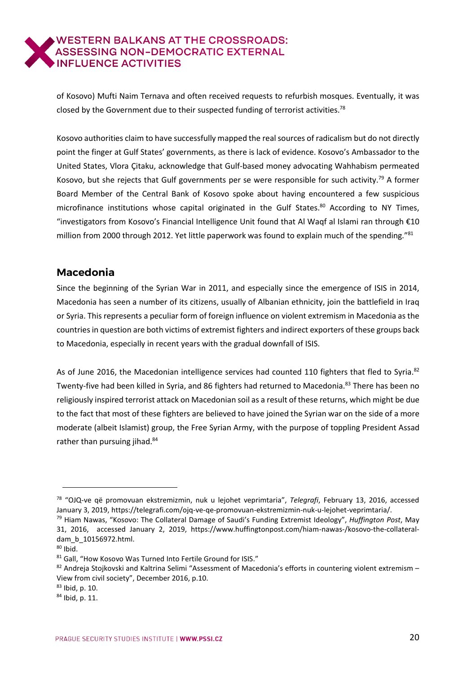of Kosovo) Mufti Naim Ternava and often received requests to refurbish mosques. Eventually, it was closed by the Government due to their suspected funding of terrorist activities.<sup>78</sup>

Kosovo authorities claim to have successfully mapped the realsources of radicalism but do not directly point the finger at Gulf States' governments, as there is lack of evidence. Kosovo's Ambassador to the United States, Vlora Çitaku, acknowledge that Gulf-based money advocating Wahhabism permeated Kosovo, but she rejects that Gulf governments per se were responsible for such activity.<sup>79</sup> A former Board Member of the Central Bank of Kosovo spoke about having encountered a few suspicious microfinance institutions whose capital originated in the Gulf States.<sup>80</sup> According to NY Times, "investigators from Kosovo's Financial Intelligence Unit found that Al Waqf al Islami ran through €10 million from 2000 through 2012. Yet little paperwork was found to explain much of the spending."81

# <span id="page-19-0"></span>**Macedonia**

Since the beginning of the Syrian War in 2011, and especially since the emergence of ISIS in 2014, Macedonia has seen a number of its citizens, usually of Albanian ethnicity, join the battlefield in Iraq or Syria. This represents a peculiar form of foreign influence on violent extremism in Macedonia as the countriesin question are both victims of extremist fighters and indirect exporters of these groups back to Macedonia, especially in recent years with the gradual downfall of ISIS.

As of June 2016, the Macedonian intelligence services had counted 110 fighters that fled to Syria.<sup>82</sup> Twenty-five had been killed in Syria, and 86 fighters had returned to Macedonia.<sup>83</sup> There has been no religiously inspired terrorist attack on Macedonian soil as a result of these returns, which might be due to the fact that most of these fighters are believed to have joined the Syrian war on the side of a more moderate (albeit Islamist) group, the Free Syrian Army, with the purpose of toppling President Assad rather than pursuing jihad.<sup>84</sup>

<sup>78</sup> "OJQ-ve që promovuan ekstremizmin, nuk u lejohet veprimtaria", *Telegrafi*, February 13, 2016, accessed January 3, 2019, [https://telegrafi.com/ojq-ve-qe-promovuan-ekstremizmin-nuk-u-lejohet-veprimtaria/.](https://telegrafi.com/ojq-ve-qe-promovuan-ekstremizmin-nuk-u-lejohet-veprimtaria/)

<sup>79</sup> Hiam Nawas, "Kosovo: The Collateral Damage of Saudi's Funding Extremist Ideology", *Huffington Post*, May 31, 2016, accessed January 2, 2019, [https://www.huffingtonpost.com/hiam-nawas-/kosovo-the-collateral](https://www.huffingtonpost.com/hiam-nawas-/kosovo-the-collateral-dam_b_10156972.html)[dam\\_b\\_10156972.html.](https://www.huffingtonpost.com/hiam-nawas-/kosovo-the-collateral-dam_b_10156972.html)

 $80$  Ibid.

<sup>81</sup> Gall, "How Kosovo Was Turned Into Fertile Ground for ISIS."

 $82$  Andreja Stojkovski and Kaltrina Selimi "Assessment of Macedonia's efforts in countering violent extremism – View from civil society", December 2016, p.10.

<sup>83</sup> Ibid, p. 10.

<sup>84</sup> Ibid, p. 11.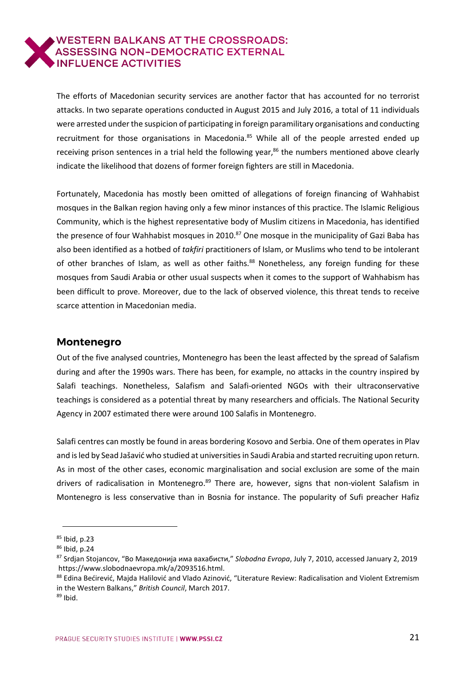The efforts of Macedonian security services are another factor that has accounted for no terrorist attacks. In two separate operations conducted in August 2015 and July 2016, a total of 11 individuals were arrested under the suspicion of participating in foreign paramilitary organisations and conducting recruitment for those organisations in Macedonia.<sup>85</sup> While all of the people arrested ended up receiving prison sentences in a trial held the following year, $86$  the numbers mentioned above clearly indicate the likelihood that dozens of former foreign fighters are still in Macedonia.

Fortunately, Macedonia has mostly been omitted of allegations of foreign financing of Wahhabist mosques in the Balkan region having only a few minor instances of this practice. The Islamic Religious Community, which is the highest representative body of Muslim citizens in Macedonia, has identified the presence of four Wahhabist mosques in 2010.<sup>87</sup> One mosque in the municipality of Gazi Baba has also been identified as a hotbed of *takfiri* practitioners of Islam, or Muslims who tend to be intolerant of other branches of Islam, as well as other faiths.<sup>88</sup> Nonetheless, any foreign funding for these mosques from Saudi Arabia or other usual suspects when it comes to the support of Wahhabism has been difficult to prove. Moreover, due to the lack of observed violence, this threat tends to receive scarce attention in Macedonian media.

# <span id="page-20-0"></span>**Montenegro**

Out of the five analysed countries, Montenegro has been the least affected by the spread of Salafism during and after the 1990s wars. There has been, for example, no attacks in the country inspired by Salafi teachings. Nonetheless, Salafism and Salafi-oriented NGOs with their ultraconservative teachings is considered as a potential threat by many researchers and officials. The National Security Agency in 2007 estimated there were around 100 Salafis in Montenegro.

Salafi centres can mostly be found in areas bordering Kosovo and Serbia. One of them operates in Plav and isled by Sead Jašavić who studied at universitiesin Saudi Arabia and started recruiting upon return. As in most of the other cases, economic marginalisation and social exclusion are some of the main drivers of radicalisation in Montenegro.<sup>89</sup> There are, however, signs that non-violent Salafism in Montenegro is less conservative than in Bosnia for instance. The popularity of Sufi preacher Hafiz

 $\overline{a}$ 

88 Edina Bećirević, Majda Halilović and Vlado Azinović, "Literature Review: Radicalisation and Violent Extremism in the Western Balkans," *British Council*, March 2017.

<sup>85</sup> Ibid, p.23

 $86$  Ibid, p.24

<sup>87</sup> Srdjan Stojancov, "Во Македонија има вахабисти," *Slobodna Evropa*, July 7, 2010, accessed January 2, 2019 [https://www.slobodnaevropa.mk/a/2093516.html.](https://www.slobodnaevropa.mk/a/2093516.html)

 $89$  Ibid.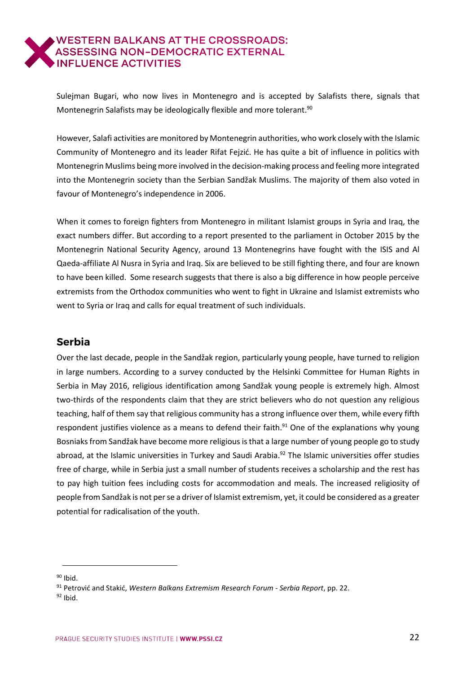Sulejman Bugari, who now lives in Montenegro and is accepted by Salafists there, signals that Montenegrin Salafists may be ideologically flexible and more tolerant.<sup>90</sup>

However, Salafi activities are monitored by Montenegrin authorities, who work closely with the Islamic Community of Montenegro and its leader Rifat Fejzić. He has quite a bit of influence in politics with Montenegrin Muslims being more involved in the decision-making process and feeling more integrated into the Montenegrin society than the Serbian Sandžak Muslims. The majority of them also voted in favour of Montenegro's independence in 2006.

When it comes to foreign fighters from Montenegro in militant Islamist groups in Syria and Iraq, the exact numbers differ. But according to a report presented to the parliament in October 2015 by the Montenegrin National Security Agency, around 13 Montenegrins have fought with the ISIS and Al Qaeda-affiliate Al Nusra in Syria and Iraq. Six are believed to be still fighting there, and four are known to have been killed. Some research suggests that there is also a big difference in how people perceive extremists from the Orthodox communities who went to fight in Ukraine and Islamist extremists who went to Syria or Iraq and calls for equal treatment of such individuals.

# <span id="page-21-0"></span>**Serbia**

Over the last decade, people in the Sandžak region, particularly young people, have turned to religion in large numbers. According to a survey conducted by the Helsinki Committee for Human Rights in Serbia in May 2016, religious identification among Sandžak young people is extremely high. Almost two-thirds of the respondents claim that they are strict believers who do not question any religious teaching, half of them say that religious community has a strong influence over them, while every fifth respondent justifies violence as a means to defend their faith.<sup>91</sup> One of the explanations why young Bosniaks from Sandžak have become more religious is that a large number of young people go to study abroad, at the Islamic universities in Turkey and Saudi Arabia.<sup>92</sup> The Islamic universities offer studies free of charge, while in Serbia just a small number of students receives a scholarship and the rest has to pay high tuition fees including costs for accommodation and meals. The increased religiosity of people from Sandžak is not perse a driver of Islamist extremism, yet, it could be considered as a greater potential for radicalisation of the youth.

 $\overline{a}$  $90$  Ibid.

<sup>91</sup> Petrović and Stakić, *Western Balkans Extremism Research Forum - Serbia Report*, pp. 22.

 $92$  Ibid.